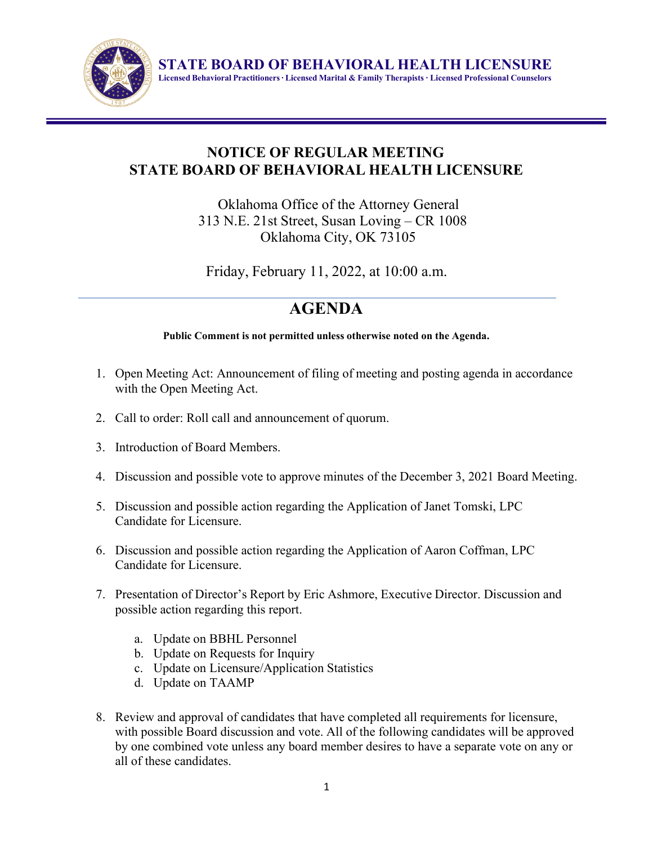

**STATE BOARD OF BEHAVIORAL HEALTH LICENSURE Licensed Behavioral Practitioners∙ Licensed Marital & Family Therapists ∙ Licensed Professional Counselors**

# **NOTICE OF REGULAR MEETING STATE BOARD OF BEHAVIORAL HEALTH LICENSURE**

Oklahoma Office of the Attorney General 313 N.E. 21st Street, Susan Loving – CR 1008 Oklahoma City, OK 73105

Friday, February 11, 2022, at 10:00 a.m.

# **AGENDA**

### **Public Comment is not permitted unless otherwise noted on the Agenda.**

- 1. Open Meeting Act: Announcement of filing of meeting and posting agenda in accordance with the Open Meeting Act.
- 2. Call to order: Roll call and announcement of quorum.
- 3. Introduction of Board Members.
- 4. Discussion and possible vote to approve minutes of the December 3, 2021 Board Meeting.
- 5. Discussion and possible action regarding the Application of Janet Tomski, LPC Candidate for Licensure.
- 6. Discussion and possible action regarding the Application of Aaron Coffman, LPC Candidate for Licensure.
- 7. Presentation of Director's Report by Eric Ashmore, Executive Director. Discussion and possible action regarding this report.
	- a. Update on BBHL Personnel
	- b. Update on Requests for Inquiry
	- c. Update on Licensure/Application Statistics
	- d. Update on TAAMP
- 8. Review and approval of candidates that have completed all requirements for licensure, with possible Board discussion and vote. All of the following candidates will be approved by one combined vote unless any board member desires to have a separate vote on any or all of these candidates.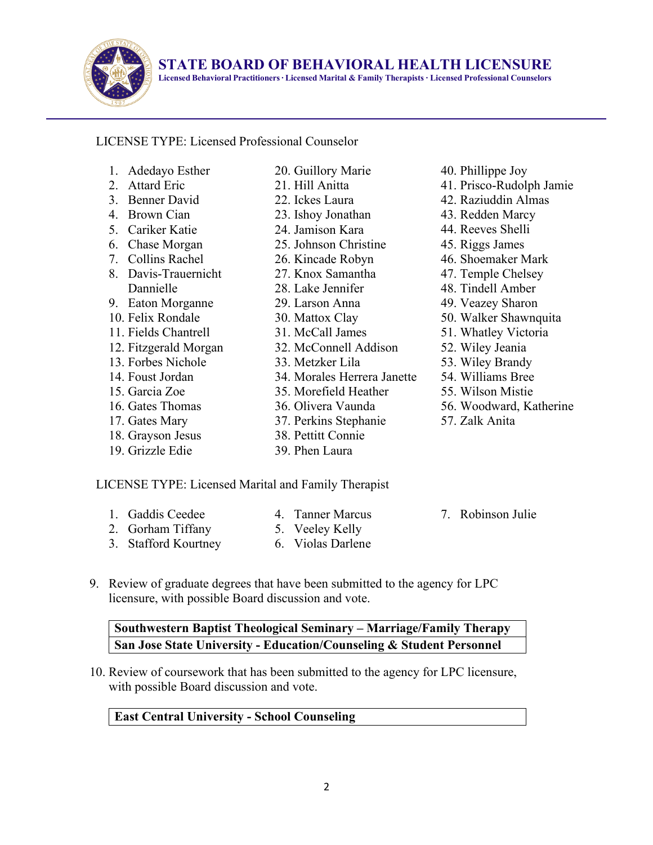

**STATE BOARD OF BEHAVIORAL HEALTH LICENSURE**

**Licensed Behavioral Practitioners∙ Licensed Marital & Family Therapists ∙ Licensed Professional Counselors**

# LICENSE TYPE: Licensed Professional Counselor

- 1. Adedayo Esther
- 2. Attard Eric 3. Benner David
- 4. Brown Cian
- 5. Cariker Katie
- 
- 6. Chase Morgan 7. Collins Rachel
- 8. Davis-Trauernicht Dannielle
- 9. Eaton Morganne
- 10. Felix Rondale
- 11. Fields Chantrell
- 12. Fitzgerald Morgan
- 13. Forbes Nichole
- 14. Foust Jordan
- 15. Garcia Zoe
- 16. Gates Thomas
- 17. Gates Mary
- 18. Grayson Jesus
- 19. Grizzle Edie
- 20. Guillory Marie 21. Hill Anitta
- 22. Ickes Laura
- 23. Ishoy Jonathan
- 24. Jamison Kara
- 25. Johnson Christine
- 26. Kincade Robyn
- 27. Knox Samantha
- 28. Lake Jennifer
- 29. Larson Anna
- 
- 30. Mattox Clay
- 31. McCall James
- 32. McConnell Addison
- 33. Metzker Lila
- 34. Morales Herrera Janette
- 35. Morefield Heather
- 36. Olivera Vaunda
- 37. Perkins Stephanie
- 38. Pettitt Connie
- 39. Phen Laura
- 41. Prisco-Rudolph Jamie 42. Raziuddin Almas 43. Redden Marcy 44. Reeves Shelli 45. Riggs James 46. Shoemaker Mark 47. Temple Chelsey 48. Tindell Amber
- 49. Veazey Sharon

40. Phillippe Joy

- 50. Walker Shawnquita
- 51. Whatley Victoria
- 52. Wiley Jeania
- 53. Wiley Brandy
- 54. Williams Bree
- 55. Wilson Mistie
- 56. Woodward, Katherine
- 57. Zalk Anita

### LICENSE TYPE: Licensed Marital and Family Therapist

1. Gaddis Ceedee 2. Gorham Tiffany

3. Stafford Kourtney

- 4. Tanner Marcus
- 5. Veeley Kelly
- 6. Violas Darlene
- 7. Robinson Julie
- 9. Review of graduate degrees that have been submitted to the agency for LPC licensure, with possible Board discussion and vote.

**Southwestern Baptist Theological Seminary – Marriage/Family Therapy San Jose State University - Education/Counseling & Student Personnel**

10. Review of coursework that has been submitted to the agency for LPC licensure, with possible Board discussion and vote.

### **East Central University - School Counseling**